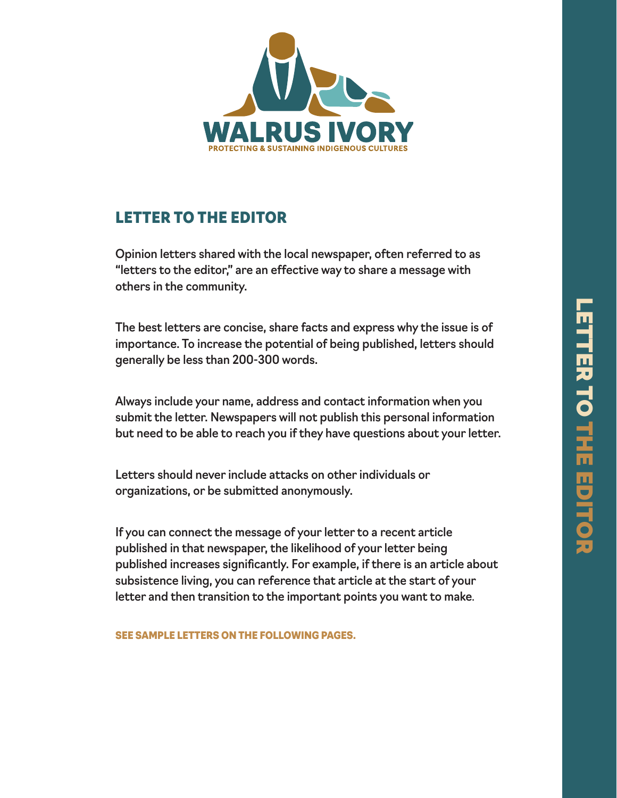

# LETTER TO THE EDITOR

Opinion letters shared with the local newspaper, often referred to as "letters to the editor," are an effective way to share a message with others in the community.

The best letters are concise, share facts and express why the issue is of importance. To increase the potential of being published, letters should generally be less than 200-300 words.

Always include your name, address and contact information when you submit the letter. Newspapers will not publish this personal information but need to be able to reach you if they have questions about your letter.

Letters should never include attacks on other individuals or organizations, or be submitted anonymously.

If you can connect the message of your letter to a recent article published in that newspaper, the likelihood of your letter being published increases significantly. For example, if there is an article about subsistence living, you can reference that article at the start of your letter and then transition to the important points you want to make.

SEE SAMPLE LETTERS ON THE FOLLOWING PAGES.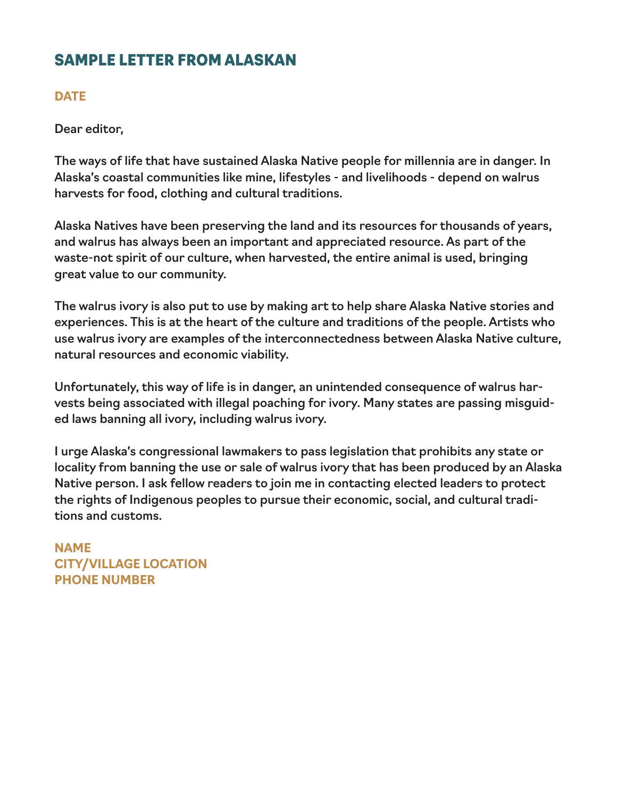### SAMPLE LETTER FROM ALASKAN

#### **DATE**

Dear editor,

The ways of life that have sustained Alaska Native people for millennia are in danger. In Alaska's coastal communities like mine, lifestyles - and livelihoods - depend on walrus harvests for food, clothing and cultural traditions.

Alaska Natives have been preserving the land and its resources for thousands of years, and walrus has always been an important and appreciated resource. As part of the waste-not spirit of our culture, when harvested, the entire animal is used, bringing great value to our community.

The walrus ivory is also put to use by making art to help share Alaska Native stories and experiences. This is at the heart of the culture and traditions of the people. Artists who use walrus ivory are examples of the interconnectedness between Alaska Native culture, natural resources and economic viability.

Unfortunately, this way of life is in danger, an unintended consequence of walrus harvests being associated with illegal poaching for ivory. Many states are passing misguided laws banning all ivory, including walrus ivory.

I urge Alaska's congressional lawmakers to pass legislation that prohibits any state or locality from banning the use or sale of walrus ivory that has been produced by an Alaska Native person. I ask fellow readers to join me in contacting elected leaders to protect the rights of Indigenous peoples to pursue their economic, social, and cultural traditions and customs.

**NAME CITY/VILLAGE LOCATION PHONE NUMBER**